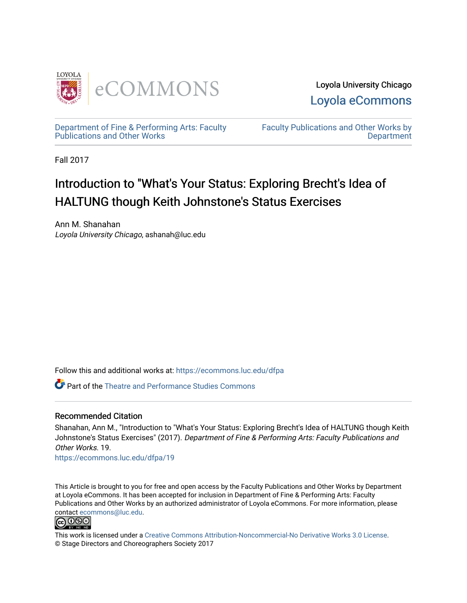

Loyola University Chicago [Loyola eCommons](https://ecommons.luc.edu/) 

[Department of Fine & Performing Arts: Faculty](https://ecommons.luc.edu/dfpa)  [Publications and Other Works](https://ecommons.luc.edu/dfpa) 

[Faculty Publications and Other Works by](https://ecommons.luc.edu/faculty)  **Department** 

Fall 2017

## Introduction to "What's Your Status: Exploring Brecht's Idea of HALTUNG though Keith Johnstone's Status Exercises

Ann M. Shanahan Loyola University Chicago, ashanah@luc.edu

Follow this and additional works at: [https://ecommons.luc.edu/dfpa](https://ecommons.luc.edu/dfpa?utm_source=ecommons.luc.edu%2Fdfpa%2F19&utm_medium=PDF&utm_campaign=PDFCoverPages) 

Part of the [Theatre and Performance Studies Commons](http://network.bepress.com/hgg/discipline/552?utm_source=ecommons.luc.edu%2Fdfpa%2F19&utm_medium=PDF&utm_campaign=PDFCoverPages) 

## Recommended Citation

Shanahan, Ann M., "Introduction to "What's Your Status: Exploring Brecht's Idea of HALTUNG though Keith Johnstone's Status Exercises" (2017). Department of Fine & Performing Arts: Faculty Publications and Other Works. 19.

[https://ecommons.luc.edu/dfpa/19](https://ecommons.luc.edu/dfpa/19?utm_source=ecommons.luc.edu%2Fdfpa%2F19&utm_medium=PDF&utm_campaign=PDFCoverPages) 

This Article is brought to you for free and open access by the Faculty Publications and Other Works by Department at Loyola eCommons. It has been accepted for inclusion in Department of Fine & Performing Arts: Faculty Publications and Other Works by an authorized administrator of Loyola eCommons. For more information, please contact [ecommons@luc.edu.](mailto:ecommons@luc.edu)



This work is licensed under a [Creative Commons Attribution-Noncommercial-No Derivative Works 3.0 License.](https://creativecommons.org/licenses/by-nc-nd/3.0/) © Stage Directors and Choreographers Society 2017